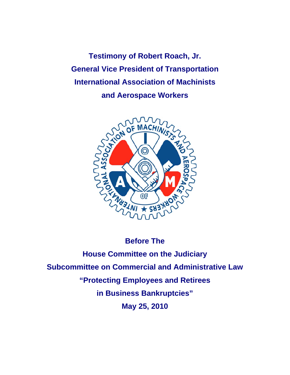**Testimony of Robert Roach, Jr. General Vice President of Transportation International Association of Machinists and Aerospace Workers** 



## **Before The**

**House Committee on the Judiciary Subcommittee on Commercial and Administrative Law "Protecting Employees and Retirees in Business Bankruptcies" May 25, 2010**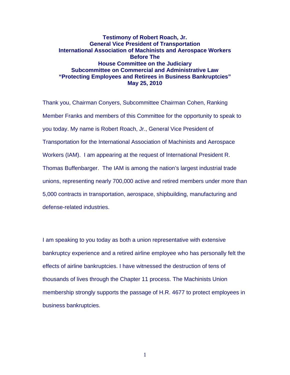## **Testimony of Robert Roach, Jr. General Vice President of Transportation International Association of Machinists and Aerospace Workers Before The House Committee on the Judiciary Subcommittee on Commercial and Administrative Law "Protecting Employees and Retirees in Business Bankruptcies" May 25, 2010**

Thank you, Chairman Conyers, Subcommittee Chairman Cohen, Ranking Member Franks and members of this Committee for the opportunity to speak to you today. My name is Robert Roach, Jr., General Vice President of Transportation for the International Association of Machinists and Aerospace Workers (IAM). I am appearing at the request of International President R. Thomas Buffenbarger. The IAM is among the nation's largest industrial trade unions, representing nearly 700,000 active and retired members under more than 5,000 contracts in transportation, aerospace, shipbuilding, manufacturing and defense-related industries.

I am speaking to you today as both a union representative with extensive bankruptcy experience and a retired airline employee who has personally felt the effects of airline bankruptcies. I have witnessed the destruction of tens of thousands of lives through the Chapter 11 process. The Machinists Union membership strongly supports the passage of H.R. 4677 to protect employees in business bankruptcies.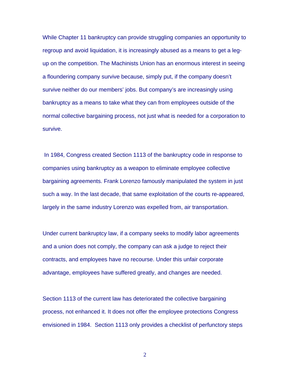While Chapter 11 bankruptcy can provide struggling companies an opportunity to regroup and avoid liquidation, it is increasingly abused as a means to get a legup on the competition. The Machinists Union has an enormous interest in seeing a floundering company survive because, simply put, if the company doesn't survive neither do our members' jobs. But company's are increasingly using bankruptcy as a means to take what they can from employees outside of the normal collective bargaining process, not just what is needed for a corporation to survive.

 In 1984, Congress created Section 1113 of the bankruptcy code in response to companies using bankruptcy as a weapon to eliminate employee collective bargaining agreements. Frank Lorenzo famously manipulated the system in just such a way. In the last decade, that same exploitation of the courts re-appeared, largely in the same industry Lorenzo was expelled from, air transportation.

Under current bankruptcy law, if a company seeks to modify labor agreements and a union does not comply, the company can ask a judge to reject their contracts, and employees have no recourse. Under this unfair corporate advantage, employees have suffered greatly, and changes are needed.

Section 1113 of the current law has deteriorated the collective bargaining process, not enhanced it. It does not offer the employee protections Congress envisioned in 1984. Section 1113 only provides a checklist of perfunctory steps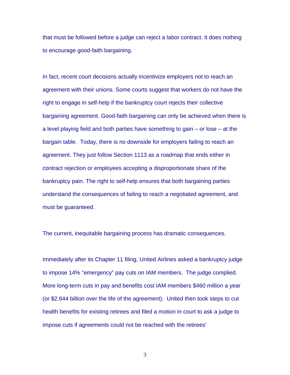that must be followed before a judge can reject a labor contract. It does nothing to encourage good-faith bargaining.

In fact, recent court decisions actually incentivize employers not to reach an agreement with their unions. Some courts suggest that workers do not have the right to engage in self-help if the bankruptcy court rejects their collective bargaining agreement. Good-faith bargaining can only be achieved when there is a level playing field and both parties have something to gain – or lose – at the bargain table. Today, there is no downside for employers failing to reach an agreement. They just follow Section 1113 as a roadmap that ends either in contract rejection or employees accepting a disproportionate share of the bankruptcy pain. The right to self-help ensures that both bargaining parties understand the consequences of failing to reach a negotiated agreement, and must be guaranteed.

The current, inequitable bargaining process has dramatic consequences.

Immediately after its Chapter 11 filing, United Airlines asked a bankruptcy judge to impose 14% "emergency" pay cuts on IAM members. The judge complied. More long-term cuts in pay and benefits cost IAM members \$460 million a year (or \$2.644 billion over the life of the agreement). United then took steps to cut health benefits for existing retirees and filed a motion in court to ask a judge to impose cuts if agreements could not be reached with the retirees'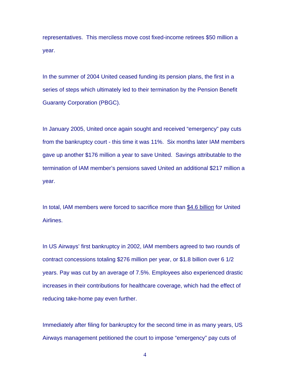representatives. This merciless move cost fixed-income retirees \$50 million a year.

In the summer of 2004 United ceased funding its pension plans, the first in a series of steps which ultimately led to their termination by the Pension Benefit Guaranty Corporation (PBGC).

In January 2005, United once again sought and received "emergency" pay cuts from the bankruptcy court - this time it was 11%. Six months later IAM members gave up another \$176 million a year to save United. Savings attributable to the termination of IAM member's pensions saved United an additional \$217 million a year.

In total, IAM members were forced to sacrifice more than \$4.6 billion for United Airlines.

In US Airways' first bankruptcy in 2002, IAM members agreed to two rounds of contract concessions totaling \$276 million per year, or \$1.8 billion over 6 1/2 years. Pay was cut by an average of 7.5%. Employees also experienced drastic increases in their contributions for healthcare coverage, which had the effect of reducing take-home pay even further.

Immediately after filing for bankruptcy for the second time in as many years, US Airways management petitioned the court to impose "emergency" pay cuts of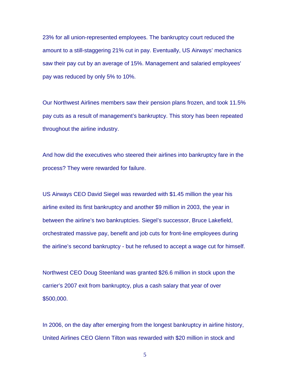23% for all union-represented employees. The bankruptcy court reduced the amount to a still-staggering 21% cut in pay. Eventually, US Airways' mechanics saw their pay cut by an average of 15%. Management and salaried employees' pay was reduced by only 5% to 10%.

Our Northwest Airlines members saw their pension plans frozen, and took 11.5% pay cuts as a result of management's bankruptcy. This story has been repeated throughout the airline industry.

And how did the executives who steered their airlines into bankruptcy fare in the process? They were rewarded for failure.

US Airways CEO David Siegel was rewarded with \$1.45 million the year his airline exited its first bankruptcy and another \$9 million in 2003, the year in between the airline's two bankruptcies. Siegel's successor, Bruce Lakefield, orchestrated massive pay, benefit and job cuts for front-line employees during the airline's second bankruptcy - but he refused to accept a wage cut for himself.

Northwest CEO Doug Steenland was granted \$26.6 million in stock upon the carrier's 2007 exit from bankruptcy, plus a cash salary that year of over \$500,000.

In 2006, on the day after emerging from the longest bankruptcy in airline history, United Airlines CEO Glenn Tilton was rewarded with \$20 million in stock and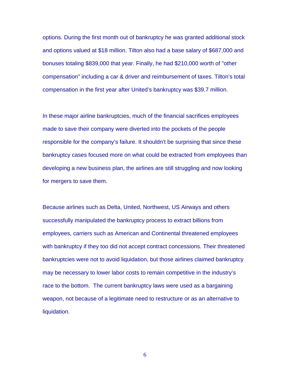options. During the first month out of bankruptcy he was granted additional stock and options valued at \$18 million. Tilton also had a base salary of \$687,000 and bonuses totaling \$839,000 that year. Finally, he had \$210,000 worth of "other compensation" including a car & driver and reimbursement of taxes. Tilton's total compensation in the first year after United's bankruptcy was \$39.7 million.

In these major airline bankruptcies, much of the financial sacrifices employees made to save their company were diverted into the pockets of the people responsible for the company's failure. It shouldn't be surprising that since these bankruptcy cases focused more on what could be extracted from employees than developing a new business plan, the airlines are still struggling and now looking for mergers to save them.

Because airlines such as Delta, United, Northwest, US Airways and others successfully manipulated the bankruptcy process to extract billions from employees, carriers such as American and Continental threatened employees with bankruptcy if they too did not accept contract concessions. Their threatened bankruptcies were not to avoid liquidation, but those airlines claimed bankruptcy may be necessary to lower labor costs to remain competitive in the industry's race to the bottom. The current bankruptcy laws were used as a bargaining weapon, not because of a legitimate need to restructure or as an alternative to liquidation.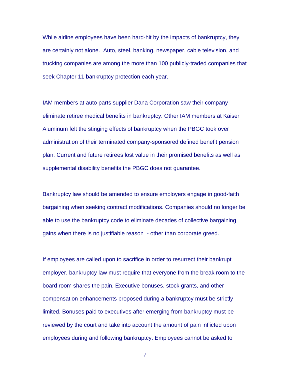While airline employees have been hard-hit by the impacts of bankruptcy, they are certainly not alone. Auto, steel, banking, newspaper, cable television, and trucking companies are among the more than 100 publicly-traded companies that seek Chapter 11 bankruptcy protection each year.

IAM members at auto parts supplier Dana Corporation saw their company eliminate retiree medical benefits in bankruptcy. Other IAM members at Kaiser Aluminum felt the stinging effects of bankruptcy when the PBGC took over administration of their terminated company-sponsored defined benefit pension plan. Current and future retirees lost value in their promised benefits as well as supplemental disability benefits the PBGC does not guarantee.

Bankruptcy law should be amended to ensure employers engage in good-faith bargaining when seeking contract modifications. Companies should no longer be able to use the bankruptcy code to eliminate decades of collective bargaining gains when there is no justifiable reason - other than corporate greed.

If employees are called upon to sacrifice in order to resurrect their bankrupt employer, bankruptcy law must require that everyone from the break room to the board room shares the pain. Executive bonuses, stock grants, and other compensation enhancements proposed during a bankruptcy must be strictly limited. Bonuses paid to executives after emerging from bankruptcy must be reviewed by the court and take into account the amount of pain inflicted upon employees during and following bankruptcy. Employees cannot be asked to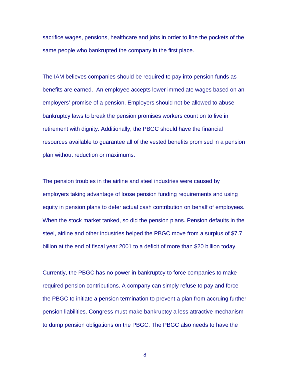sacrifice wages, pensions, healthcare and jobs in order to line the pockets of the same people who bankrupted the company in the first place.

The IAM believes companies should be required to pay into pension funds as benefits are earned. An employee accepts lower immediate wages based on an employers' promise of a pension. Employers should not be allowed to abuse bankruptcy laws to break the pension promises workers count on to live in retirement with dignity. Additionally, the PBGC should have the financial resources available to guarantee all of the vested benefits promised in a pension plan without reduction or maximums.

The pension troubles in the airline and steel industries were caused by employers taking advantage of loose pension funding requirements and using equity in pension plans to defer actual cash contribution on behalf of employees. When the stock market tanked, so did the pension plans. Pension defaults in the steel, airline and other industries helped the PBGC move from a surplus of \$7.7 billion at the end of fiscal year 2001 to a deficit of more than \$20 billion today.

Currently, the PBGC has no power in bankruptcy to force companies to make required pension contributions. A company can simply refuse to pay and force the PBGC to initiate a pension termination to prevent a plan from accruing further pension liabilities. Congress must make bankruptcy a less attractive mechanism to dump pension obligations on the PBGC. The PBGC also needs to have the